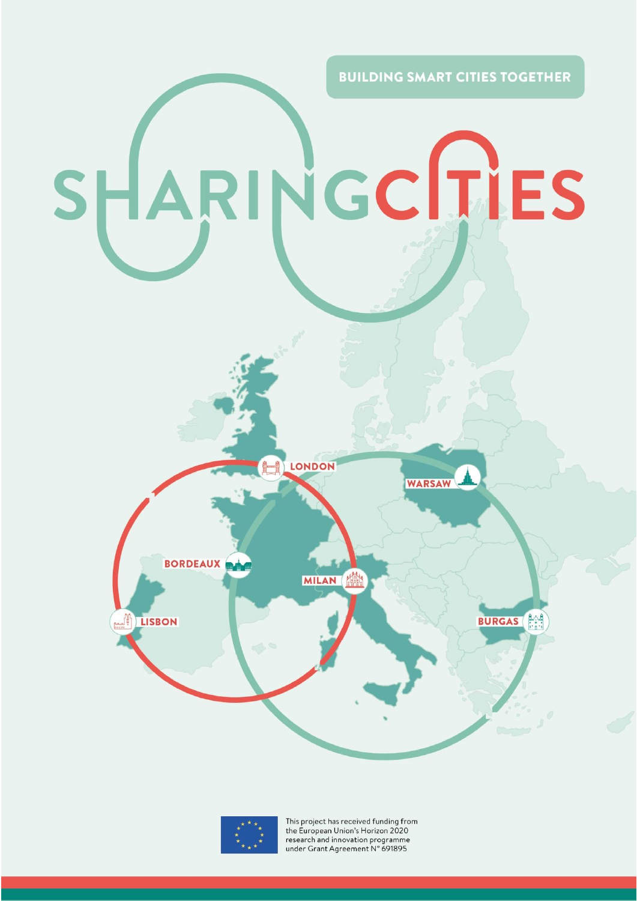**BUILDING SMART CITIES TOGETHER** NGCITIES SHAR **LONDON WARSAW BORDEAUX MILAN BURGAS JE LISBON** 



This project has received funding from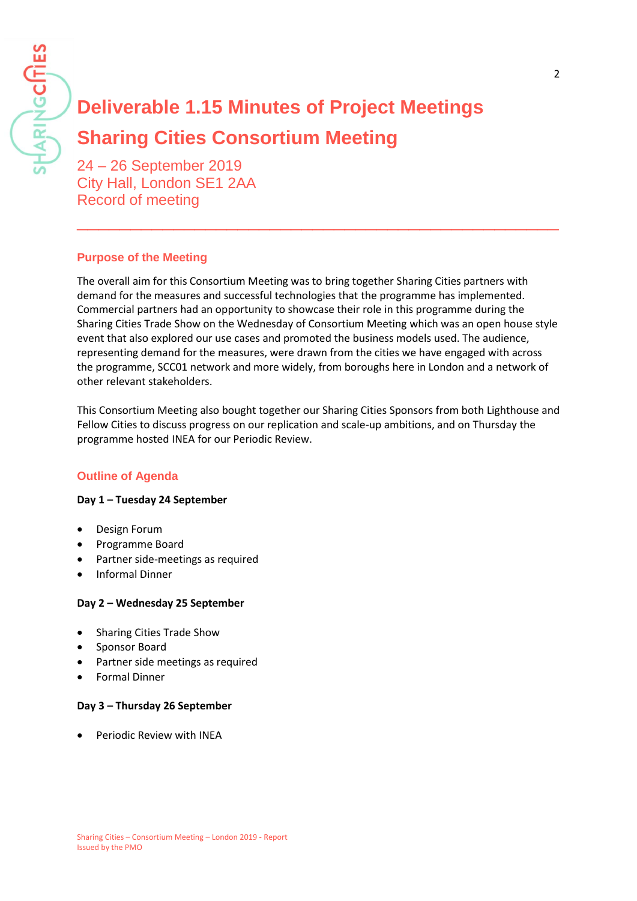# **Deliverable 1.15 Minutes of Project Meetings Sharing Cities Consortium Meeting**

24 – 26 September 2019 City Hall, London SE1 2AA Record of meeting

## **Purpose of the Meeting**

The overall aim for this Consortium Meeting was to bring together Sharing Cities partners with demand for the measures and successful technologies that the programme has implemented. Commercial partners had an opportunity to showcase their role in this programme during the Sharing Cities Trade Show on the Wednesday of Consortium Meeting which was an open house style event that also explored our use cases and promoted the business models used. The audience, representing demand for the measures, were drawn from the cities we have engaged with across the programme, SCC01 network and more widely, from boroughs here in London and a network of other relevant stakeholders.

\_\_\_\_\_\_\_\_\_\_\_\_\_\_\_\_\_\_\_\_\_\_\_\_\_\_\_\_\_\_\_\_\_\_\_\_\_\_\_\_\_\_\_\_\_

This Consortium Meeting also bought together our Sharing Cities Sponsors from both Lighthouse and Fellow Cities to discuss progress on our replication and scale-up ambitions, and on Thursday the programme hosted INEA for our Periodic Review.

## **Outline of Agenda**

#### **Day 1 – Tuesday 24 September**

- Design Forum
- Programme Board
- Partner side-meetings as required
- Informal Dinner

#### **Day 2 – Wednesday 25 September**

- Sharing Cities Trade Show
- Sponsor Board
- Partner side meetings as required
- Formal Dinner

#### **Day 3 – Thursday 26 September**

• Periodic Review with INEA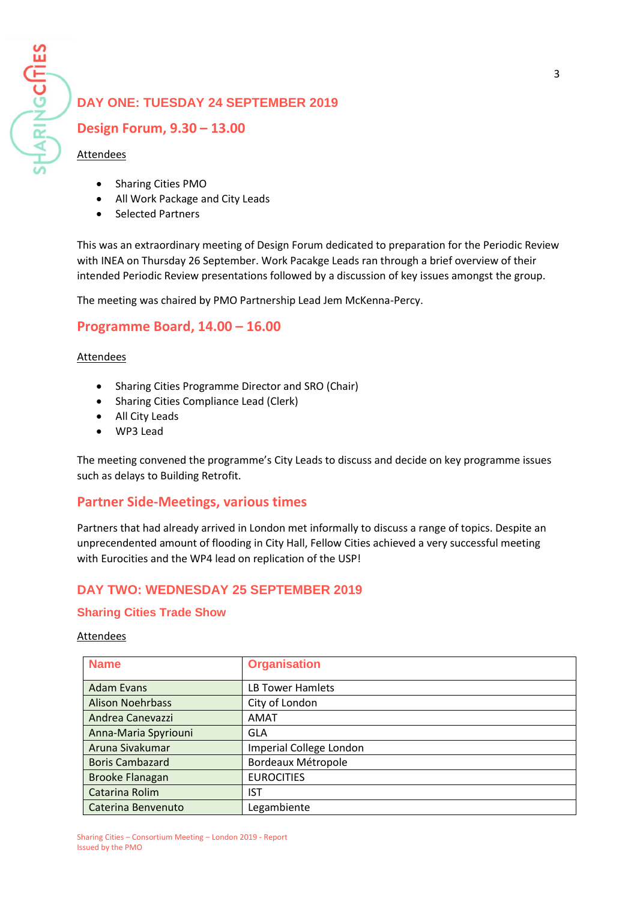# **DAY ONE: TUESDAY 24 SEPTEMBER 2019**

## **Design Forum, 9.30 – 13.00**

#### Attendees

- Sharing Cities PMO
- All Work Package and City Leads
- Selected Partners

This was an extraordinary meeting of Design Forum dedicated to preparation for the Periodic Review with INEA on Thursday 26 September. Work Pacakge Leads ran through a brief overview of their intended Periodic Review presentations followed by a discussion of key issues amongst the group.

The meeting was chaired by PMO Partnership Lead Jem McKenna-Percy.

## **Programme Board, 14.00 – 16.00**

#### Attendees

- Sharing Cities Programme Director and SRO (Chair)
- Sharing Cities Compliance Lead (Clerk)
- All City Leads
- WP3 Lead

The meeting convened the programme's City Leads to discuss and decide on key programme issues such as delays to Building Retrofit.

## **Partner Side-Meetings, various times**

Partners that had already arrived in London met informally to discuss a range of topics. Despite an unprecendented amount of flooding in City Hall, Fellow Cities achieved a very successful meeting with Eurocities and the WP4 lead on replication of the USP!

## **DAY TWO: WEDNESDAY 25 SEPTEMBER 2019**

#### **Sharing Cities Trade Show**

#### Attendees

| <b>Name</b>             | <b>Organisation</b>     |
|-------------------------|-------------------------|
| <b>Adam Evans</b>       | LB Tower Hamlets        |
| <b>Alison Noehrbass</b> | City of London          |
| Andrea Canevazzi        | AMAT                    |
| Anna-Maria Spyriouni    | GLA                     |
| Aruna Sivakumar         | Imperial College London |
| <b>Boris Cambazard</b>  | Bordeaux Métropole      |
| <b>Brooke Flanagan</b>  | <b>EUROCITIES</b>       |
| Catarina Rolim          | IST                     |
| Caterina Benvenuto      | Legambiente             |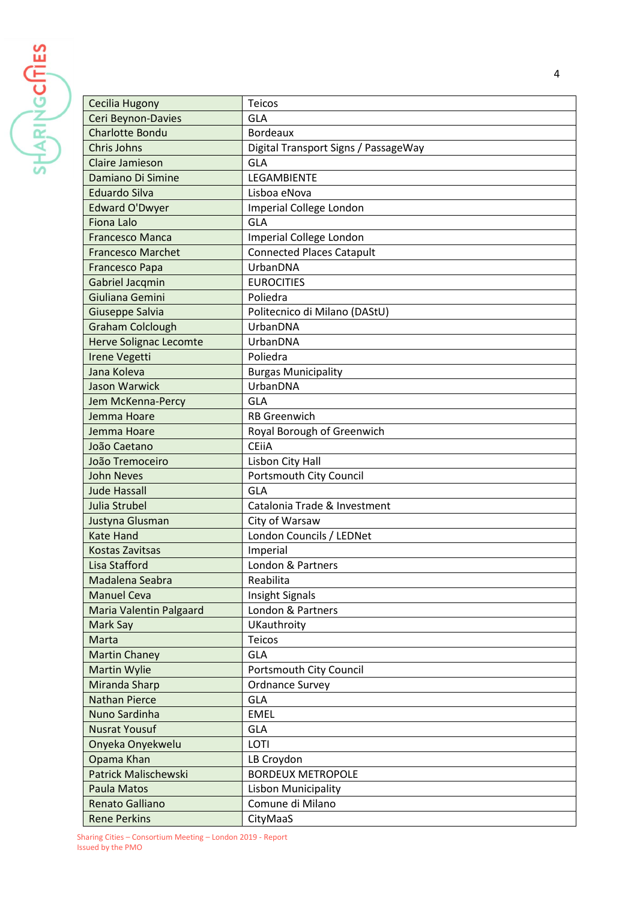$\frac{1}{\sqrt{\left|\mathbf{v}_{B}\right|}\sqrt{\left|\mathbf{c}_{C}\right|}}$ 

| Cecilia Hugony                | Teicos                               |
|-------------------------------|--------------------------------------|
| Ceri Beynon-Davies            | <b>GLA</b>                           |
| <b>Charlotte Bondu</b>        | <b>Bordeaux</b>                      |
| Chris Johns                   | Digital Transport Signs / PassageWay |
| Claire Jamieson               | GLA                                  |
| Damiano Di Simine             | LEGAMBIENTE                          |
| <b>Eduardo Silva</b>          | Lisboa eNova                         |
| <b>Edward O'Dwyer</b>         | Imperial College London              |
| <b>Fiona Lalo</b>             | <b>GLA</b>                           |
| <b>Francesco Manca</b>        | Imperial College London              |
| <b>Francesco Marchet</b>      | <b>Connected Places Catapult</b>     |
| <b>Francesco Papa</b>         | UrbanDNA                             |
| <b>Gabriel Jacqmin</b>        | <b>EUROCITIES</b>                    |
| Giuliana Gemini               | Poliedra                             |
| Giuseppe Salvia               | Politecnico di Milano (DAStU)        |
| <b>Graham Colclough</b>       | UrbanDNA                             |
| <b>Herve Solignac Lecomte</b> | UrbanDNA                             |
| <b>Irene Vegetti</b>          | Poliedra                             |
| Jana Koleva                   | <b>Burgas Municipality</b>           |
| <b>Jason Warwick</b>          | UrbanDNA                             |
| Jem McKenna-Percy             | <b>GLA</b>                           |
| Jemma Hoare                   | <b>RB</b> Greenwich                  |
| Jemma Hoare                   | Royal Borough of Greenwich           |
| João Caetano                  | <b>CEIIA</b>                         |
| João Tremoceiro               | Lisbon City Hall                     |
| <b>John Neves</b>             | Portsmouth City Council              |
| <b>Jude Hassall</b>           | <b>GLA</b>                           |
| Julia Strubel                 | Catalonia Trade & Investment         |
| Justyna Glusman               | City of Warsaw                       |
| <b>Kate Hand</b>              | London Councils / LEDNet             |
| <b>Kostas Zavitsas</b>        | Imperial                             |
| Lisa Stafford                 | London & Partners                    |
| Madalena Seabra               | Reabilita                            |
| <b>Manuel Ceva</b>            | <b>Insight Signals</b>               |
| Maria Valentin Palgaard       | London & Partners                    |
| Mark Say                      | UKauthroity                          |
| Marta                         | <b>Teicos</b>                        |
| <b>Martin Chaney</b>          | <b>GLA</b>                           |
| <b>Martin Wylie</b>           | Portsmouth City Council              |
| <b>Miranda Sharp</b>          | <b>Ordnance Survey</b>               |
| <b>Nathan Pierce</b>          | <b>GLA</b>                           |
| Nuno Sardinha                 | <b>EMEL</b>                          |
| <b>Nusrat Yousuf</b>          | <b>GLA</b>                           |
| Onyeka Onyekwelu              | LOTI                                 |
| Opama Khan                    | LB Croydon                           |
| <b>Patrick Malischewski</b>   | <b>BORDEUX METROPOLE</b>             |
| <b>Paula Matos</b>            | Lisbon Municipality                  |
| Renato Galliano               | Comune di Milano                     |
| <b>Rene Perkins</b>           | CityMaaS                             |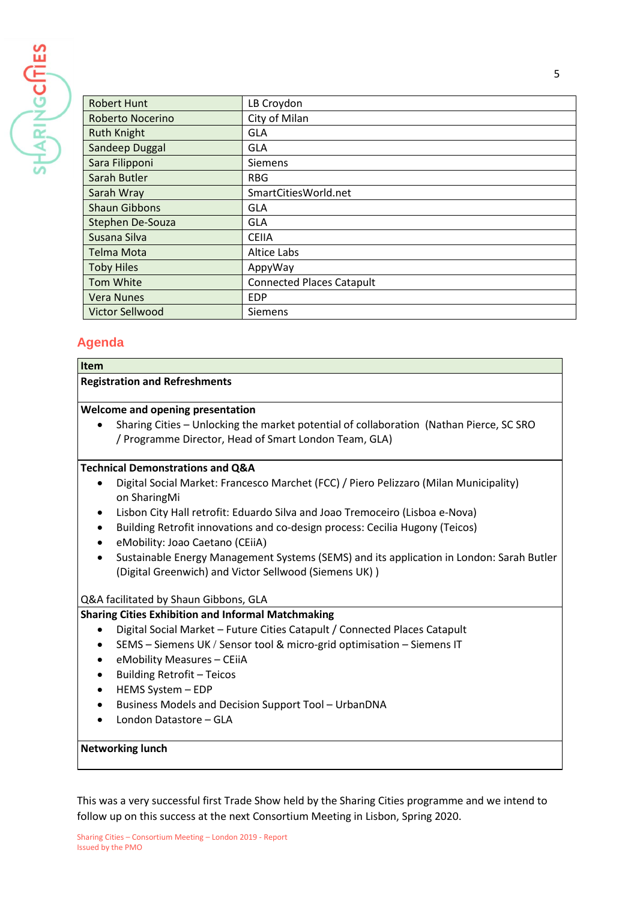

| <b>Robert Hunt</b>      | LB Croydon                       |
|-------------------------|----------------------------------|
| <b>Roberto Nocerino</b> | City of Milan                    |
| <b>Ruth Knight</b>      | <b>GLA</b>                       |
| Sandeep Duggal          | <b>GLA</b>                       |
| Sara Filipponi          | Siemens                          |
| Sarah Butler            | <b>RBG</b>                       |
| Sarah Wray              | SmartCitiesWorld.net             |
| <b>Shaun Gibbons</b>    | <b>GLA</b>                       |
| Stephen De-Souza        | <b>GLA</b>                       |
| Susana Silva            | <b>CEIIA</b>                     |
| <b>Telma Mota</b>       | <b>Altice Labs</b>               |
| <b>Toby Hiles</b>       | AppyWay                          |
| Tom White               | <b>Connected Places Catapult</b> |
| <b>Vera Nunes</b>       | <b>EDP</b>                       |
| <b>Victor Sellwood</b>  | <b>Siemens</b>                   |

## **Agenda**

**Item**

#### **Registration and Refreshments**

#### **Welcome and opening presentation**

• Sharing Cities – Unlocking the market potential of collaboration (Nathan Pierce, SC SRO / Programme Director, Head of Smart London Team, GLA)

#### **Technical Demonstrations and Q&A**

- Digital Social Market: Francesco Marchet (FCC) / Piero Pelizzaro (Milan Municipality) on SharingMi
- Lisbon City Hall retrofit: Eduardo Silva and Joao Tremoceiro (Lisboa e-Nova)
- Building Retrofit innovations and co-design process: Cecilia Hugony (Teicos)
- eMobility: Joao Caetano (CEiiA)
- Sustainable Energy Management Systems (SEMS) and its application in London: Sarah Butler (Digital Greenwich) and Victor Sellwood (Siemens UK) )

#### Q&A facilitated by Shaun Gibbons, GLA

#### **Sharing Cities Exhibition and Informal Matchmaking**

- Digital Social Market Future Cities Catapult / Connected Places Catapult
- SEMS Siemens UK / Sensor tool & micro-grid optimisation Siemens IT
- eMobility Measures CEiiA
- Building Retrofit Teicos
- HEMS System EDP
- Business Models and Decision Support Tool UrbanDNA
- London Datastore GLA

#### **Networking lunch**

This was a very successful first Trade Show held by the Sharing Cities programme and we intend to follow up on this success at the next Consortium Meeting in Lisbon, Spring 2020.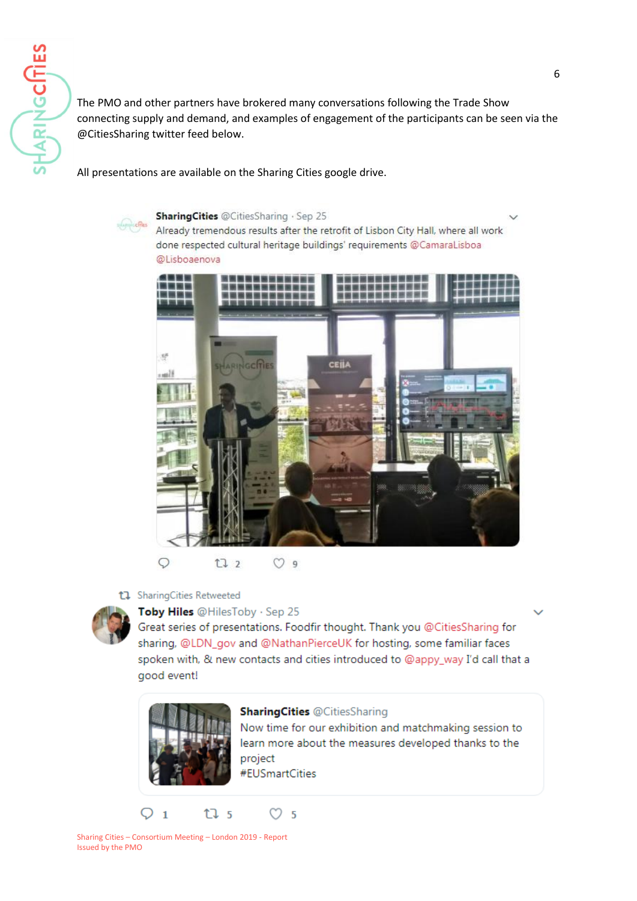The PMO and other partners have brokered many conversations following the Trade Show connecting supply and demand, and examples of engagement of the participants can be seen via the @CitiesSharing twitter feed below.

All presentations are available on the Sharing Cities google drive.



SharingCities @CitiesSharing · Sep 25

Already tremendous results after the retrofit of Lisbon City Hall, where all work done respected cultural heritage buildings' requirements @CamaraLisboa @Lisboaenova



 $\circ$ t7 2  $O9$ 



Toby Hiles @HilesToby · Sep 25

Great series of presentations. Foodfir thought. Thank you @CitiesSharing for sharing, @LDN\_gov and @NathanPierceUK for hosting, some familiar faces spoken with, & new contacts and cities introduced to @appy\_way I'd call that a good event!



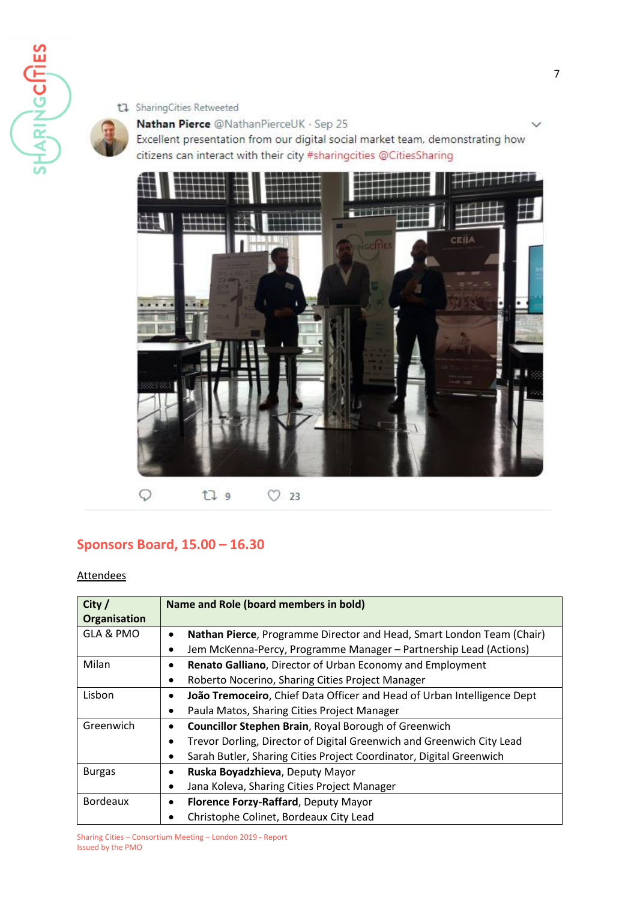

#### t1 SharingCities Retweeted

## Nathan Pierce @NathanPierceUK · Sep 25

Excellent presentation from our digital social market team, demonstrating how citizens can interact with their city #sharingcities @CitiesSharing



 $\circ$  $\heartsuit$  23 t7 9

# **Sponsors Board, 15.00 – 16.30**

#### Attendees

| City /              | Name and Role (board members in bold)                                              |
|---------------------|------------------------------------------------------------------------------------|
| <b>Organisation</b> |                                                                                    |
| GLA & PMO           | Nathan Pierce, Programme Director and Head, Smart London Team (Chair)<br>٠         |
|                     | Jem McKenna-Percy, Programme Manager - Partnership Lead (Actions)<br>$\bullet$     |
| Milan               | Renato Galliano, Director of Urban Economy and Employment                          |
|                     | Roberto Nocerino, Sharing Cities Project Manager<br>$\bullet$                      |
| Lisbon              | João Tremoceiro, Chief Data Officer and Head of Urban Intelligence Dept            |
|                     | Paula Matos, Sharing Cities Project Manager<br>$\bullet$                           |
| Greenwich           | <b>Councillor Stephen Brain, Royal Borough of Greenwich</b>                        |
|                     | Trevor Dorling, Director of Digital Greenwich and Greenwich City Lead<br>$\bullet$ |
|                     | Sarah Butler, Sharing Cities Project Coordinator, Digital Greenwich<br>٠           |
| <b>Burgas</b>       | Ruska Boyadzhieva, Deputy Mayor<br>٠                                               |
|                     | Jana Koleva, Sharing Cities Project Manager<br>٠                                   |
| <b>Bordeaux</b>     | Florence Forzy-Raffard, Deputy Mayor<br>$\bullet$                                  |
|                     | Christophe Colinet, Bordeaux City Lead<br>٠                                        |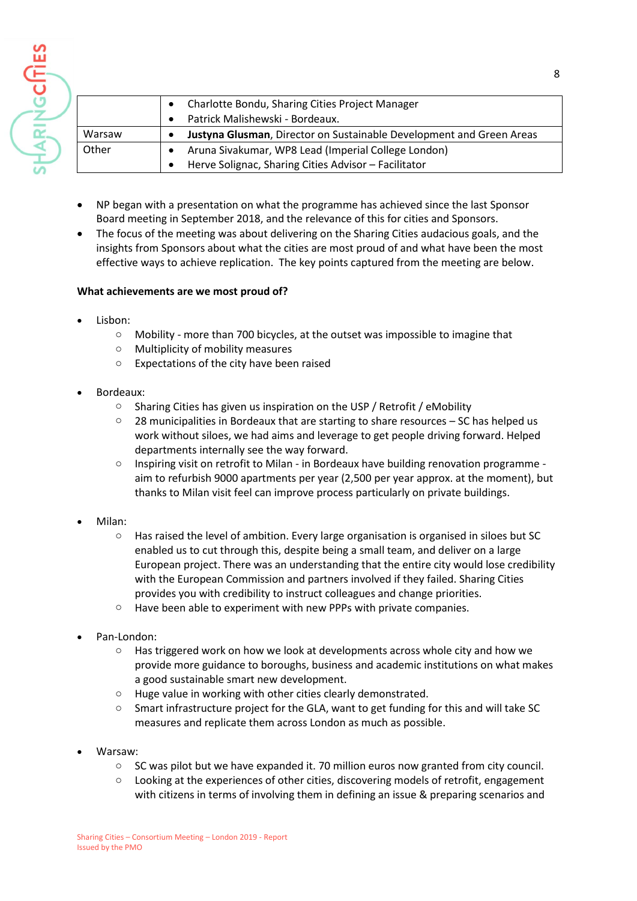|        | Charlotte Bondu, Sharing Cities Project Manager<br>$\bullet$         |
|--------|----------------------------------------------------------------------|
|        | Patrick Malishewski - Bordeaux.<br>$\bullet$                         |
| Warsaw | Justyna Glusman, Director on Sustainable Development and Green Areas |
| Other  | Aruna Sivakumar, WP8 Lead (Imperial College London)<br>$\bullet$     |
|        | Herve Solignac, Sharing Cities Advisor - Facilitator<br>٠            |

- NP began with a presentation on what the programme has achieved since the last Sponsor Board meeting in September 2018, and the relevance of this for cities and Sponsors.
- The focus of the meeting was about delivering on the Sharing Cities audacious goals, and the insights from Sponsors about what the cities are most proud of and what have been the most effective ways to achieve replication. The key points captured from the meeting are below.

#### **What achievements are we most proud of?**

Lisbon:

HARINGCITIES

- o Mobility more than 700 bicycles, at the outset was impossible to imagine that
- o Multiplicity of mobility measures
- Expectations of the city have been raised
- Bordeaux:
	- o Sharing Cities has given us inspiration on the USP / Retrofit / eMobility
	- $\degree$  28 municipalities in Bordeaux that are starting to share resources SC has helped us work without siloes, we had aims and leverage to get people driving forward. Helped departments internally see the way forward.
	- $\circ$  Inspiring visit on retrofit to Milan in Bordeaux have building renovation programme aim to refurbish 9000 apartments per year (2,500 per year approx. at the moment), but thanks to Milan visit feel can improve process particularly on private buildings.
- Milan:
	- o Has raised the level of ambition. Every large organisation is organised in siloes but SC enabled us to cut through this, despite being a small team, and deliver on a large European project. There was an understanding that the entire city would lose credibility with the European Commission and partners involved if they failed. Sharing Cities provides you with credibility to instruct colleagues and change priorities.
	- o Have been able to experiment with new PPPs with private companies.
- Pan-London:
	- $\circ$  Has triggered work on how we look at developments across whole city and how we provide more guidance to boroughs, business and academic institutions on what makes a good sustainable smart new development.
	- o Huge value in working with other cities clearly demonstrated.
	- o Smart infrastructure project for the GLA, want to get funding for this and will take SC measures and replicate them across London as much as possible.
- Warsaw:
	- $\circ$  SC was pilot but we have expanded it. 70 million euros now granted from city council.
	- $\circ$  Looking at the experiences of other cities, discovering models of retrofit, engagement with citizens in terms of involving them in defining an issue & preparing scenarios and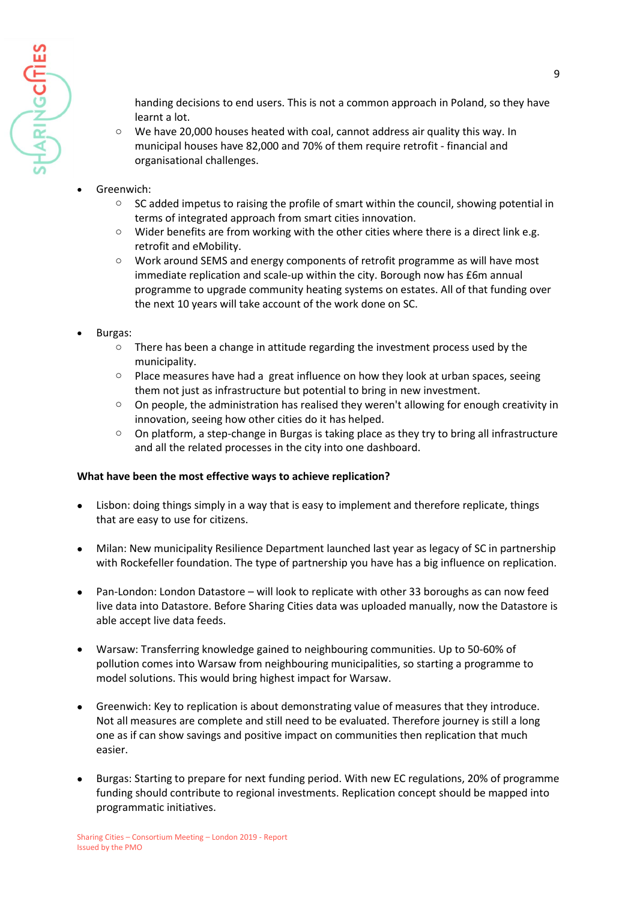

handing decisions to end users. This is not a common approach in Poland, so they have learnt a lot.

- $\circ$  We have 20,000 houses heated with coal, cannot address air quality this way. In municipal houses have 82,000 and 70% of them require retrofit - financial and organisational challenges.
- Greenwich:
	- o SC added impetus to raising the profile of smart within the council, showing potential in terms of integrated approach from smart cities innovation.
	- $\circ$  Wider benefits are from working with the other cities where there is a direct link e.g. retrofit and eMobility.
	- o Work around SEMS and energy components of retrofit programme as will have most immediate replication and scale-up within the city. Borough now has £6m annual programme to upgrade community heating systems on estates. All of that funding over the next 10 years will take account of the work done on SC.
- Burgas:
	- $\circ$  There has been a change in attitude regarding the investment process used by the municipality.
	- $\circ$  Place measures have had a great influence on how they look at urban spaces, seeing them not just as infrastructure but potential to bring in new investment.
	- $\circ$  On people, the administration has realised they weren't allowing for enough creativity in innovation, seeing how other cities do it has helped.
	- o On platform, a step-change in Burgas is taking place as they try to bring all infrastructure and all the related processes in the city into one dashboard.

#### **What have been the most effective ways to achieve replication?**

- Lisbon: doing things simply in a way that is easy to implement and therefore replicate, things that are easy to use for citizens.
- Milan: New municipality Resilience Department launched last year as legacy of SC in partnership with Rockefeller foundation. The type of partnership you have has a big influence on replication.
- Pan-London: London Datastore will look to replicate with other 33 boroughs as can now feed live data into Datastore. Before Sharing Cities data was uploaded manually, now the Datastore is able accept live data feeds.
- Warsaw: Transferring knowledge gained to neighbouring communities. Up to 50-60% of pollution comes into Warsaw from neighbouring municipalities, so starting a programme to model solutions. This would bring highest impact for Warsaw.
- Greenwich: Key to replication is about demonstrating value of measures that they introduce. Not all measures are complete and still need to be evaluated. Therefore journey is still a long one as if can show savings and positive impact on communities then replication that much easier.
- Burgas: Starting to prepare for next funding period. With new EC regulations, 20% of programme funding should contribute to regional investments. Replication concept should be mapped into programmatic initiatives.